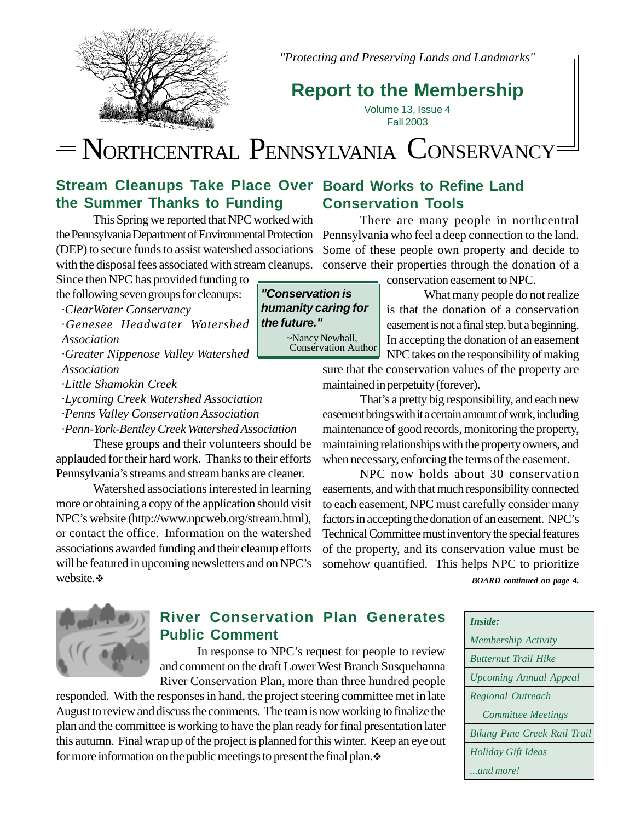

*"Protecting and Preserving Lands and Landmarks"*

# **Report to the Membership**

Volume 13, Issue 4 Fall 2003

# NORTHCENTRAL PENNSYLVANIA CONSERVANCY

## **Stream Cleanups Take Place Over Board Works to Refine Land the Summer Thanks to Funding**

This Spring we reported that NPC worked with the Pennsylvania Department of Environmental Protection (DEP) to secure funds to assist watershed associations with the disposal fees associated with stream cleanups.

Since then NPC has provided funding to the following seven groups for cleanups:

- ·*ClearWater Conservancy*
- ·*Genesee Headwater Watershed Association*

·*Greater Nippenose Valley Watershed Association*

·*Little Shamokin Creek*

·*Lycoming Creek Watershed Association*

·*Penns Valley Conservation Association*

·*Penn-York-Bentley Creek Watershed Association*

These groups and their volunteers should be applauded for their hard work. Thanks to their efforts Pennsylvania's streams and stream banks are cleaner.

Watershed associations interested in learning more or obtaining a copy of the application should visit NPC's website (http://www.npcweb.org/stream.html), or contact the office. Information on the watershed associations awarded funding and their cleanup efforts will be featured in upcoming newsletters and on NPC's website.\*

# **Conservation Tools**

There are many people in northcentral Pennsylvania who feel a deep connection to the land. Some of these people own property and decide to conserve their properties through the donation of a

conservation easement to NPC.

What many people do not realize is that the donation of a conservation easement is not a final step, but a beginning. In accepting the donation of an easement NPC takes on the responsibility of making

sure that the conservation values of the property are

That's a pretty big responsibility, and each new easement brings with it a certain amount of work, including maintenance of good records, monitoring the property, maintaining relationships with the property owners, and when necessary, enforcing the terms of the easement.

NPC now holds about 30 conservation easements, and with that much responsibility connected to each easement, NPC must carefully consider many factors in accepting the donation of an easement. NPC's Technical Committee must inventory the special features of the property, and its conservation value must be somehow quantified. This helps NPC to prioritize

*BOARD continued on page 4.*





## **River Conservation Plan Generates Public Comment**

In response to NPC's request for people to review and comment on the draft Lower West Branch Susquehanna River Conservation Plan, more than three hundred people

responded. With the responses in hand, the project steering committee met in late August to review and discuss the comments. The team is now working to finalize the plan and the committee is working to have the plan ready for final presentation later this autumn. Final wrap up of the project is planned for this winter. Keep an eye out for more information on the public meetings to present the final plan. $\ddot{\cdot}$ 

#### *"Conservation is humanity caring for the future."* ~Nancy Newhall, Conservation Author

maintained in perpetuity (forever).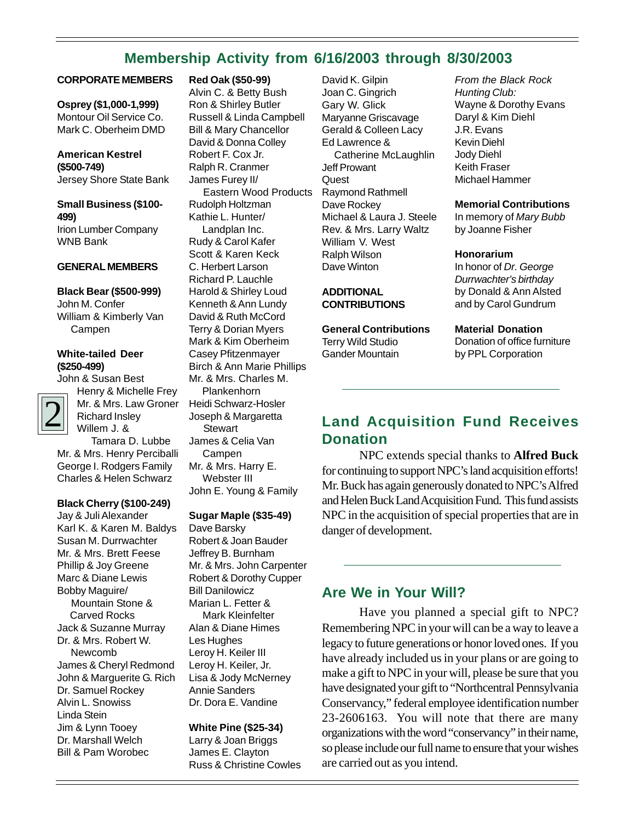## **Membership Activity from 6/16/2003 through 8/30/2003**

#### **CORPORATE MEMBERS**

#### **Osprey (\$1,000-1,999)** Montour Oil Service Co.

Mark C. Oberheim DMD

**American Kestrel (\$500-749)** Jersey Shore State Bank

### **Small Business (\$100- 499)**

Irion Lumber Company WNB Bank

#### **GENERAL MEMBERS**

#### **Black Bear (\$500-999)**

John M. Confer William & Kimberly Van Campen

#### **White-tailed Deer (\$250-499)**

John & Susan Best



Henry & Michelle Frey Mr. & Mrs. Law Groner Richard Insley Willem J. &

 Tamara D. Lubbe Mr. & Mrs. Henry Perciballi George I. Rodgers Family Charles & Helen Schwarz

#### **Black Cherry (\$100-249)**

Jay & Juli Alexander Karl K. & Karen M. Baldys Susan M. Durrwachter Mr. & Mrs. Brett Feese Phillip & Joy Greene Marc & Diane Lewis Bobby Maguire/ Mountain Stone & Carved Rocks Jack & Suzanne Murray Dr. & Mrs. Robert W. Newcomb James & Cheryl Redmond John & Marguerite G. Rich Dr. Samuel Rockey Alvin L. Snowiss Linda Stein Jim & Lynn Tooey Dr. Marshall Welch Bill & Pam Worobec

#### **Red Oak (\$50-99)**

Alvin C. & Betty Bush Ron & Shirley Butler Russell & Linda Campbell Bill & Mary Chancellor David & Donna Colley Robert F. Cox Jr. Ralph R. Cranmer James Furey II/ Eastern Wood Products Rudolph Holtzman Kathie L. Hunter/ Landplan Inc. Rudy & Carol Kafer Scott & Karen Keck C. Herbert Larson Richard P. Lauchle Harold & Shirley Loud Kenneth & Ann Lundy David & Ruth McCord Terry & Dorian Myers Mark & Kim Oberheim Casey Pfitzenmayer Birch & Ann Marie Phillips Mr. & Mrs. Charles M. Plankenhorn Heidi Schwarz-Hosler Joseph & Margaretta **Stewart** James & Celia Van Campen Mr. & Mrs. Harry E. Webster III John E. Young & Family

#### **Sugar Maple (\$35-49)**

Dave Barsky Robert & Joan Bauder Jeffrey B. Burnham Mr. & Mrs. John Carpenter Robert & Dorothy Cupper Bill Danilowicz Marian L. Fetter & Mark Kleinfelter Alan & Diane Himes Les Hughes Leroy H. Keiler III Leroy H. Keiler, Jr. Lisa & Jody McNerney Annie Sanders Dr. Dora E. Vandine

#### **White Pine (\$25-34)**

Larry & Joan Briggs James E. Clayton Russ & Christine Cowles David K. Gilpin Joan C. Gingrich Gary W. Glick Maryanne Griscavage Gerald & Colleen Lacy Ed Lawrence & Catherine McLaughlin Jeff Prowant **Quest** Raymond Rathmell Dave Rockey Michael & Laura J. Steele Rev. & Mrs. Larry Waltz William V. West Ralph Wilson Dave Winton

#### **ADDITIONAL CONTRIBUTIONS**

**General Contributions** Terry Wild Studio Gander Mountain

*From the Black Rock Hunting Club:* Wayne & Dorothy Evans Daryl & Kim Diehl J.R. Evans Kevin Diehl Jody Diehl Keith Fraser Michael Hammer

#### **Memorial Contributions**

In memory of *Mary Bubb* by Joanne Fisher

#### **Honorarium**

In honor of *Dr. George Durrwachter's birthday* by Donald & Ann Alsted and by Carol Gundrum

#### **Material Donation**

Donation of office furniture by PPL Corporation

## **Land Acquisition Fund Receives Donation**

NPC extends special thanks to **Alfred Buck** for continuing to support NPC's land acquisition efforts! Mr. Buck has again generously donated to NPC's Alfred and Helen Buck Land Acquisition Fund. This fund assists NPC in the acquisition of special properties that are in danger of development.

### **Are We in Your Will?**

Have you planned a special gift to NPC? Remembering NPC in your will can be a way to leave a legacy to future generations or honor loved ones. If you have already included us in your plans or are going to make a gift to NPC in your will, please be sure that you have designated your gift to "Northcentral Pennsylvania Conservancy," federal employee identification number 23-2606163. You will note that there are many organizations with the word "conservancy" in their name, so please include our full name to ensure that your wishes are carried out as you intend.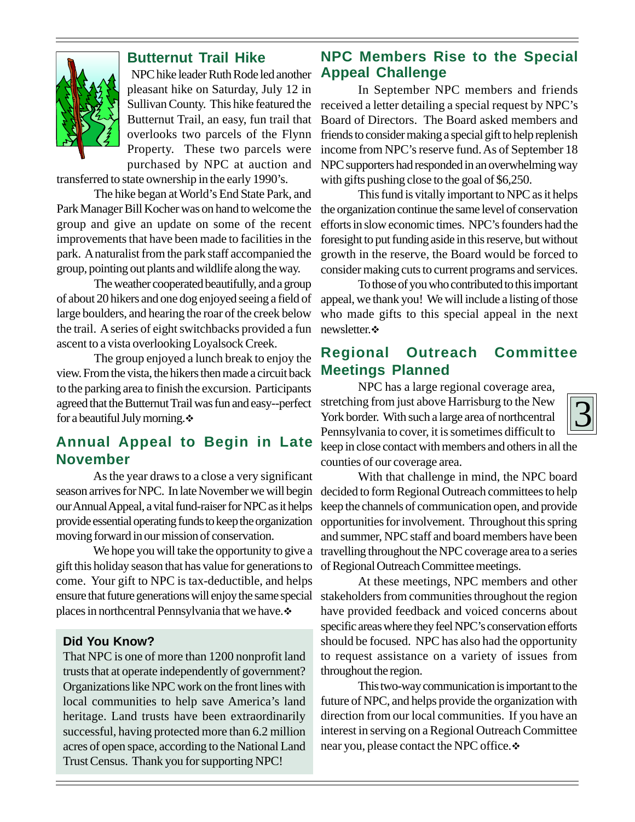

## **Butternut Trail Hike**

NPC hike leader Ruth Rode led another pleasant hike on Saturday, July 12 in Sullivan County. This hike featured the Butternut Trail, an easy, fun trail that overlooks two parcels of the Flynn Property. These two parcels were purchased by NPC at auction and

transferred to state ownership in the early 1990's.

The hike began at World's End State Park, and Park Manager Bill Kocher was on hand to welcome the group and give an update on some of the recent improvements that have been made to facilities in the park. A naturalist from the park staff accompanied the group, pointing out plants and wildlife along the way.

The weather cooperated beautifully, and a group of about 20 hikers and one dog enjoyed seeing a field of large boulders, and hearing the roar of the creek below the trail. A series of eight switchbacks provided a fun ascent to a vista overlooking Loyalsock Creek.

The group enjoyed a lunch break to enjoy the view. From the vista, the hikers then made a circuit back to the parking area to finish the excursion. Participants agreed that the Butternut Trail was fun and easy--perfect for a beautiful July morning. $\div$ 

## **Annual Appeal to Begin in Late November**

As the year draws to a close a very significant season arrives for NPC. In late November we will begin our Annual Appeal, a vital fund-raiser for NPC as it helps provide essential operating funds to keep the organization moving forward in our mission of conservation.

We hope you will take the opportunity to give a gift this holiday season that has value for generations to come. Your gift to NPC is tax-deductible, and helps ensure that future generations will enjoy the same special places in northcentral Pennsylvania that we have.

#### **Did You Know?**

That NPC is one of more than 1200 nonprofit land trusts that at operate independently of government? Organizations like NPC work on the front lines with local communities to help save America's land heritage. Land trusts have been extraordinarily successful, having protected more than 6.2 million acres of open space, according to the National Land Trust Census. Thank you for supporting NPC!

## **NPC Members Rise to the Special Appeal Challenge**

In September NPC members and friends received a letter detailing a special request by NPC's Board of Directors. The Board asked members and friends to consider making a special gift to help replenish income from NPC's reserve fund. As of September 18 NPC supporters had responded in an overwhelming way with gifts pushing close to the goal of \$6,250.

This fund is vitally important to NPC as it helps the organization continue the same level of conservation efforts in slow economic times. NPC's founders had the foresight to put funding aside in this reserve, but without growth in the reserve, the Board would be forced to consider making cuts to current programs and services.

To those of you who contributed to this important appeal, we thank you! We will include a listing of those who made gifts to this special appeal in the next newsletter.  $\cdot$ 

## **Regional Outreach Committee Meetings Planned**

NPC has a large regional coverage area, stretching from just above Harrisburg to the New York border. With such a large area of northcentral Pennsylvania to cover, it is sometimes difficult to keep in close contact with members and others in all the counties of our coverage area.

With that challenge in mind, the NPC board decided to form Regional Outreach committees to help keep the channels of communication open, and provide opportunities for involvement. Throughout this spring and summer, NPC staff and board members have been travelling throughout the NPC coverage area to a series of Regional Outreach Committee meetings.

At these meetings, NPC members and other stakeholders from communities throughout the region have provided feedback and voiced concerns about specific areas where they feel NPC's conservation efforts should be focused. NPC has also had the opportunity to request assistance on a variety of issues from throughout the region.

This two-way communication is important to the future of NPC, and helps provide the organization with direction from our local communities. If you have an interest in serving on a Regional Outreach Committee near you, please contact the NPC office.

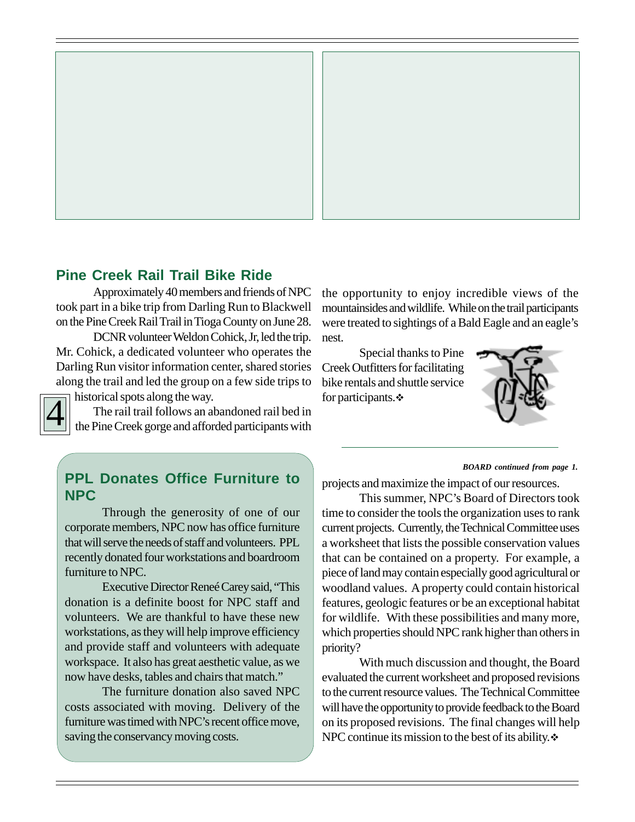

### **Pine Creek Rail Trail Bike Ride**

Approximately 40 members and friends of NPC took part in a bike trip from Darling Run to Blackwell on the Pine Creek Rail Trail in Tioga County on June 28.

DCNR volunteer Weldon Cohick, Jr, led the trip. Mr. Cohick, a dedicated volunteer who operates the Darling Run visitor information center, shared stories along the trail and led the group on a few side trips to

historical spots along the way.

4

The rail trail follows an abandoned rail bed in the Pine Creek gorge and afforded participants with the opportunity to enjoy incredible views of the mountainsides and wildlife. While on the trail participants were treated to sightings of a Bald Eagle and an eagle's nest.

Special thanks to Pine Creek Outfitters for facilitating bike rentals and shuttle service for participants.



## **PPL Donates Office Furniture to NPC**

Through the generosity of one of our corporate members, NPC now has office furniture that will serve the needs of staff and volunteers. PPL recently donated four workstations and boardroom furniture to NPC.

Executive Director Reneé Carey said, "This donation is a definite boost for NPC staff and volunteers. We are thankful to have these new workstations, as they will help improve efficiency and provide staff and volunteers with adequate workspace. It also has great aesthetic value, as we now have desks, tables and chairs that match."

The furniture donation also saved NPC costs associated with moving. Delivery of the furniture was timed with NPC's recent office move, saving the conservancy moving costs.

#### *BOARD continued from page 1.*

projects and maximize the impact of our resources.

This summer, NPC's Board of Directors took time to consider the tools the organization uses to rank current projects. Currently, the Technical Committee uses a worksheet that lists the possible conservation values that can be contained on a property. For example, a piece of land may contain especially good agricultural or woodland values. A property could contain historical features, geologic features or be an exceptional habitat for wildlife. With these possibilities and many more, which properties should NPC rank higher than others in priority?

With much discussion and thought, the Board evaluated the current worksheet and proposed revisions to the current resource values. The Technical Committee will have the opportunity to provide feedback to the Board on its proposed revisions. The final changes will help NPC continue its mission to the best of its ability. $\ddot{\cdot}$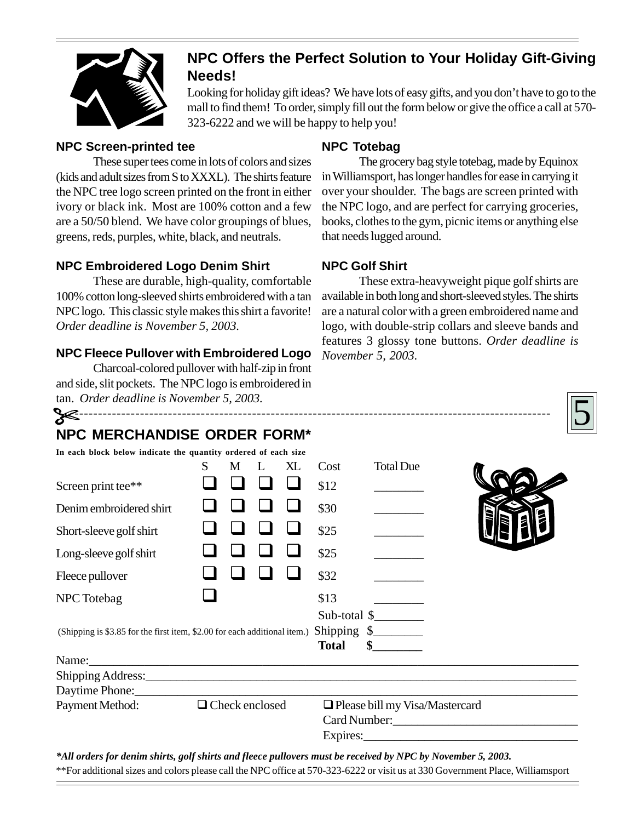

## **NPC Offers the Perfect Solution to Your Holiday Gift-Giving Needs!**

Looking for holiday gift ideas? We have lots of easy gifts, and you don't have to go to the mall to find them! To order, simply fill out the form below or give the office a call at 570- 323-6222 and we will be happy to help you!

#### **NPC Screen-printed tee**

These super tees come in lots of colors and sizes (kids and adult sizes from S to XXXL). The shirts feature the NPC tree logo screen printed on the front in either ivory or black ink. Most are 100% cotton and a few are a 50/50 blend. We have color groupings of blues, greens, reds, purples, white, black, and neutrals.

### **NPC Embroidered Logo Denim Shirt**

These are durable, high-quality, comfortable 100% cotton long-sleeved shirts embroidered with a tan NPC logo. This classic style makes this shirt a favorite! *Order deadline is November 5, 2003.*

## **NPC Fleece Pullover with Embroidered Logo**

Charcoal-colored pullover with half-zip in front and side, slit pockets. The NPC logo is embroidered in tan. *Order deadline is November 5, 2003.*

## **NPC Totebag**

The grocery bag style totebag, made by Equinox in Williamsport, has longer handles for ease in carrying it over your shoulder. The bags are screen printed with the NPC logo, and are perfect for carrying groceries, books, clothes to the gym, picnic items or anything else that needs lugged around.

## **NPC Golf Shirt**

These extra-heavyweight pique golf shirts are available in both long and short-sleeved styles. The shirts are a natural color with a green embroidered name and logo, with double-strip collars and sleeve bands and features 3 glossy tone buttons. *Order deadline is November 5, 2003.*



## **NPC MERCHANDISE ORDER FORM\***

------------------------------------------------------------------------------------------------------

| In each block below indicate the quantity ordered of each size                                              |                       |   |  |    |                                |                                                        |  |
|-------------------------------------------------------------------------------------------------------------|-----------------------|---|--|----|--------------------------------|--------------------------------------------------------|--|
|                                                                                                             | S                     | M |  | XL | Cost                           | <b>Total Due</b>                                       |  |
| Screen print tee**                                                                                          |                       |   |  |    | \$12                           |                                                        |  |
| Denim embroidered shirt                                                                                     |                       |   |  |    | \$30                           |                                                        |  |
| Short-sleeve golf shirt                                                                                     |                       |   |  |    | \$25                           |                                                        |  |
| Long-sleeve golf shirt                                                                                      |                       |   |  |    | \$25                           |                                                        |  |
| Fleece pullover                                                                                             |                       |   |  |    | \$32                           |                                                        |  |
| NPC Totebag                                                                                                 |                       |   |  |    | \$13                           |                                                        |  |
| (Shipping is \$3.85 for the first item, \$2.00 for each additional item.)                                   |                       |   |  |    | <b>Total</b>                   | Sub-total \$<br>Shipping $\frac{1}{2}$<br>$\mathbf{s}$ |  |
| Name: Name:                                                                                                 |                       |   |  |    |                                |                                                        |  |
|                                                                                                             |                       |   |  |    |                                |                                                        |  |
|                                                                                                             |                       |   |  |    |                                |                                                        |  |
| Payment Method:                                                                                             | $\Box$ Check enclosed |   |  |    | Please bill my Visa/Mastercard |                                                        |  |
|                                                                                                             |                       |   |  |    |                                |                                                        |  |
|                                                                                                             |                       |   |  |    |                                |                                                        |  |
| *All orders for denim shirts, golf shirts and fleece pullovers must be received by NPC by November 5, 2003. |                       |   |  |    |                                |                                                        |  |
|                                                                                                             |                       |   |  |    |                                |                                                        |  |

\*\*For additional sizes and colors please call the NPC office at 570-323-6222 or visit us at 330 Government Place, Williamsport